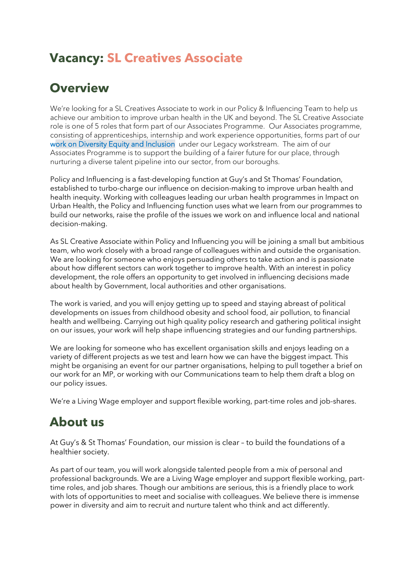## **Vacancy: SL Creatives Associate**

#### **Overview**

We're looking for a SL Creatives Associate to work in our Policy & Influencing Team to help us achieve our ambition to improve urban health in the UK and beyond. The SL Creative Associate role is one of 5 roles that form part of our Associates Programme. Our Associates programme, consisting of apprenticeships, internship and work experience opportunities, forms part of our [work on Diversity Equity and Inclusion](https://gsttfoundation.org.uk/about-us/diversity-equity-and-inclusion/) under our Legacy workstream. The aim of our Associates Programme is to support the building of a fairer future for our place, through nurturing a diverse talent pipeline into our sector, from our boroughs.

Policy and Influencing is a fast-developing function at Guy's and St Thomas' Foundation, established to turbo-charge our influence on decision-making to improve urban health and health inequity. Working with colleagues leading our urban health programmes in Impact on Urban Health, the Policy and Influencing function uses what we learn from our programmes to build our networks, raise the profile of the issues we work on and influence local and national decision-making.

As SL Creative Associate within Policy and Influencing you will be joining a small but ambitious team, who work closely with a broad range of colleagues within and outside the organisation. We are looking for someone who enjoys persuading others to take action and is passionate about how different sectors can work together to improve health. With an interest in policy development, the role offers an opportunity to get involved in influencing decisions made about health by Government, local authorities and other organisations.

The work is varied, and you will enjoy getting up to speed and staying abreast of political developments on issues from childhood obesity and school food, air pollution, to financial health and wellbeing. Carrying out high quality policy research and gathering political insight on our issues, your work will help shape influencing strategies and our funding partnerships.

We are looking for someone who has excellent organisation skills and enjoys leading on a variety of different projects as we test and learn how we can have the biggest impact. This might be organising an event for our partner organisations, helping to pull together a brief on our work for an MP, or working with our Communications team to help them draft a blog on our policy issues.

We're a Living Wage employer and support flexible working, part-time roles and job-shares.

### **About us**

At Guy's & St Thomas' Foundation, our mission is clear – to build the foundations of a healthier society.

As part of our team, you will work alongside talented people from a mix of personal and professional backgrounds. We are a Living Wage employer and support flexible working, parttime roles, and job shares. Though our ambitions are serious, this is a friendly place to work with lots of opportunities to meet and socialise with colleagues. We believe there is immense power in diversity and aim to recruit and nurture talent who think and act differently.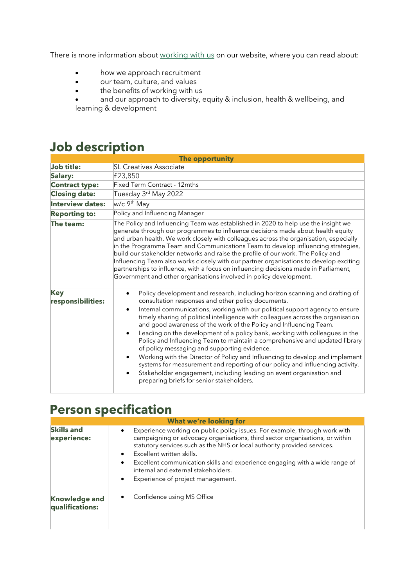There is more information about [working with us](https://gsttfoundation.org.uk/about-us/working-here/) on our website, where you can read about:

- how we approach recruitment
- our team, culture, and values
- the benefits of working with us

• and our approach to diversity, equity & inclusion, health & wellbeing, and learning & development

#### **Job description**

| The opportunity                 |                                                                                                                                                                                                                                                                                                                                                                                                                                                                                                                                                                                                                                                                                                                                                                                                                                                                                                                                                 |
|---------------------------------|-------------------------------------------------------------------------------------------------------------------------------------------------------------------------------------------------------------------------------------------------------------------------------------------------------------------------------------------------------------------------------------------------------------------------------------------------------------------------------------------------------------------------------------------------------------------------------------------------------------------------------------------------------------------------------------------------------------------------------------------------------------------------------------------------------------------------------------------------------------------------------------------------------------------------------------------------|
| Job title:                      | <b>SL Creatives Associate</b>                                                                                                                                                                                                                                                                                                                                                                                                                                                                                                                                                                                                                                                                                                                                                                                                                                                                                                                   |
| Salary:                         | £23,850                                                                                                                                                                                                                                                                                                                                                                                                                                                                                                                                                                                                                                                                                                                                                                                                                                                                                                                                         |
| <b>Contract type:</b>           | Fixed Term Contract - 12mths                                                                                                                                                                                                                                                                                                                                                                                                                                                                                                                                                                                                                                                                                                                                                                                                                                                                                                                    |
| <b>Closing date:</b>            | Tuesday 3rd May 2022                                                                                                                                                                                                                                                                                                                                                                                                                                                                                                                                                                                                                                                                                                                                                                                                                                                                                                                            |
| <b>Interview dates:</b>         | w/c 9 <sup>th</sup> May                                                                                                                                                                                                                                                                                                                                                                                                                                                                                                                                                                                                                                                                                                                                                                                                                                                                                                                         |
| <b>Reporting to:</b>            | Policy and Influencing Manager                                                                                                                                                                                                                                                                                                                                                                                                                                                                                                                                                                                                                                                                                                                                                                                                                                                                                                                  |
| The team:                       | The Policy and Influencing Team was established in 2020 to help use the insight we<br>generate through our programmes to influence decisions made about health equity<br>and urban health. We work closely with colleagues across the organisation, especially<br>in the Programme Team and Communications Team to develop influencing strategies,<br>build our stakeholder networks and raise the profile of our work. The Policy and<br>Influencing Team also works closely with our partner organisations to develop exciting<br>partnerships to influence, with a focus on influencing decisions made in Parliament,<br>Government and other organisations involved in policy development.                                                                                                                                                                                                                                                  |
| <b>Key</b><br>responsibilities: | Policy development and research, including horizon scanning and drafting of<br>$\bullet$<br>consultation responses and other policy documents.<br>Internal communications, working with our political support agency to ensure<br>$\bullet$<br>timely sharing of political intelligence with colleagues across the organisation<br>and good awareness of the work of the Policy and Influencing Team.<br>Leading on the development of a policy bank, working with colleagues in the<br>$\bullet$<br>Policy and Influencing Team to maintain a comprehensive and updated library<br>of policy messaging and supporting evidence.<br>Working with the Director of Policy and Influencing to develop and implement<br>$\bullet$<br>systems for measurement and reporting of our policy and influencing activity.<br>Stakeholder engagement, including leading on event organisation and<br>$\bullet$<br>preparing briefs for senior stakeholders. |

#### **Person specification**

| <b>What we're looking for</b>           |                                                                                                                                                                                                                                                                                                                                                                                                                                                                                    |  |
|-----------------------------------------|------------------------------------------------------------------------------------------------------------------------------------------------------------------------------------------------------------------------------------------------------------------------------------------------------------------------------------------------------------------------------------------------------------------------------------------------------------------------------------|--|
| <b>Skills and</b><br>experience:        | Experience working on public policy issues. For example, through work with<br>$\bullet$<br>campaigning or advocacy organisations, third sector organisations, or within<br>statutory services such as the NHS or local authority provided services.<br>Excellent written skills.<br>$\bullet$<br>Excellent communication skills and experience engaging with a wide range of<br>$\bullet$<br>internal and external stakeholders.<br>Experience of project management.<br>$\bullet$ |  |
| <b>Knowledge and</b><br>qualifications: | Confidence using MS Office                                                                                                                                                                                                                                                                                                                                                                                                                                                         |  |